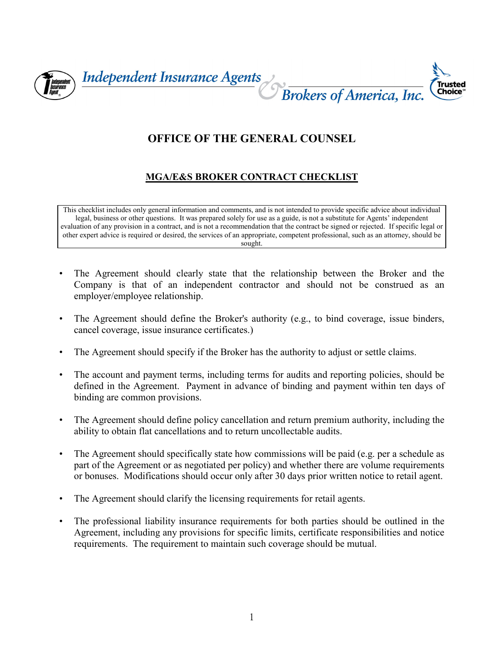

## **OFFICE OF THE GENERAL COUNSEL**

## **MGA/E&S BROKER CONTRACT CHECKLIST**

This checklist includes only general information and comments, and is not intended to provide specific advice about individual legal, business or other questions. It was prepared solely for use as a guide, is not a substitute for Agents' independent evaluation of any provision in a contract, and is not a recommendation that the contract be signed or rejected. If specific legal or other expert advice is required or desired, the services of an appropriate, competent professional, such as an attorney, should be sought.

- The Agreement should clearly state that the relationship between the Broker and the Company is that of an independent contractor and should not be construed as an employer/employee relationship.
- The Agreement should define the Broker's authority (e.g., to bind coverage, issue binders, cancel coverage, issue insurance certificates.)
- The Agreement should specify if the Broker has the authority to adjust or settle claims.
- The account and payment terms, including terms for audits and reporting policies, should be defined in the Agreement. Payment in advance of binding and payment within ten days of binding are common provisions.
- The Agreement should define policy cancellation and return premium authority, including the ability to obtain flat cancellations and to return uncollectable audits.
- The Agreement should specifically state how commissions will be paid (e.g. per a schedule as part of the Agreement or as negotiated per policy) and whether there are volume requirements or bonuses. Modifications should occur only after 30 days prior written notice to retail agent.
- The Agreement should clarify the licensing requirements for retail agents.
- The professional liability insurance requirements for both parties should be outlined in the Agreement, including any provisions for specific limits, certificate responsibilities and notice requirements. The requirement to maintain such coverage should be mutual.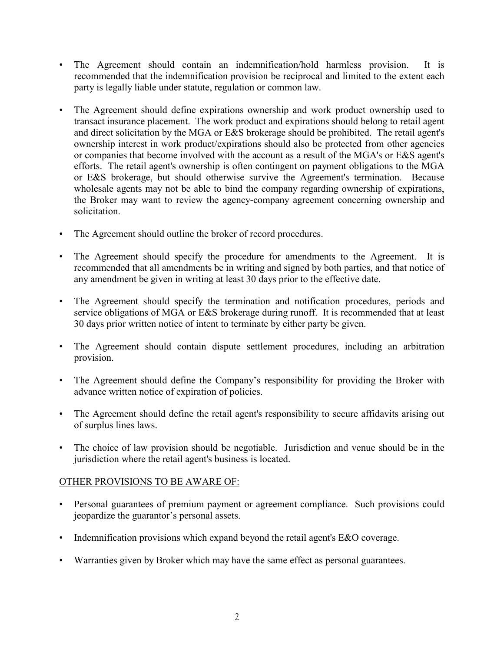- The Agreement should contain an indemnification/hold harmless provision. It is recommended that the indemnification provision be reciprocal and limited to the extent each party is legally liable under statute, regulation or common law.
- The Agreement should define expirations ownership and work product ownership used to transact insurance placement. The work product and expirations should belong to retail agent and direct solicitation by the MGA or E&S brokerage should be prohibited. The retail agent's ownership interest in work product/expirations should also be protected from other agencies or companies that become involved with the account as a result of the MGA's or E&S agent's efforts. The retail agent's ownership is often contingent on payment obligations to the MGA or E&S brokerage, but should otherwise survive the Agreement's termination. Because wholesale agents may not be able to bind the company regarding ownership of expirations, the Broker may want to review the agency-company agreement concerning ownership and solicitation.
- The Agreement should outline the broker of record procedures.
- The Agreement should specify the procedure for amendments to the Agreement. It is recommended that all amendments be in writing and signed by both parties, and that notice of any amendment be given in writing at least 30 days prior to the effective date.
- The Agreement should specify the termination and notification procedures, periods and service obligations of MGA or E&S brokerage during runoff. It is recommended that at least 30 days prior written notice of intent to terminate by either party be given.
- The Agreement should contain dispute settlement procedures, including an arbitration provision.
- The Agreement should define the Company's responsibility for providing the Broker with advance written notice of expiration of policies.
- The Agreement should define the retail agent's responsibility to secure affidavits arising out of surplus lines laws.
- The choice of law provision should be negotiable. Jurisdiction and venue should be in the jurisdiction where the retail agent's business is located.

## OTHER PROVISIONS TO BE AWARE OF:

- Personal guarantees of premium payment or agreement compliance. Such provisions could jeopardize the guarantor's personal assets.
- Indemnification provisions which expand beyond the retail agent's E&O coverage.
- Warranties given by Broker which may have the same effect as personal guarantees.